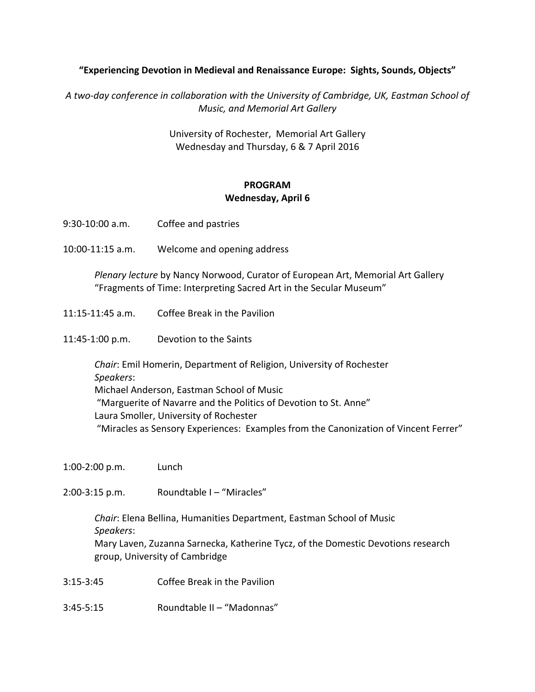## "Experiencing Devotion in Medieval and Renaissance Europe: Sights, Sounds, Objects"

A two-day conference in collaboration with the University of Cambridge, UK, Eastman School of **Music, and Memorial Art Gallery** 

> University of Rochester, Memorial Art Gallery Wednesday and Thursday, 6 & 7 April 2016

## **PROGRAM** Wednesday, April 6

9:30-10:00 a.m. Coffee and pastries 10:00-11:15 a.m. Welcome and opening address *Plenary lecture* by Nancy Norwood, Curator of European Art, Memorial Art Gallery "Fragments of Time: Interpreting Sacred Art in the Secular Museum" 11:15-11:45 a.m. Coffee Break in the Pavilion 11:45-1:00 p.m. Devotion to the Saints *Chair*: Emil Homerin, Department of Religion, University of Rochester *Speakers*: Michael Anderson, Eastman School of Music "Marguerite of Navarre and the Politics of Devotion to St. Anne" Laura Smoller, University of Rochester "Miracles as Sensory Experiences: Examples from the Canonization of Vincent Ferrer" 1:00-2:00 p.m. Lunch  $2:00-3:15$  p.m. Roundtable  $1 -$  "Miracles"

**Chair: Elena Bellina, Humanities Department, Eastman School of Music** *Speakers*: Mary Laven, Zuzanna Sarnecka, Katherine Tycz, of the Domestic Devotions research group, University of Cambridge

3:15-3:45 Coffee Break in the Pavilion

 $3:45-5:15$  Roundtable II – "Madonnas"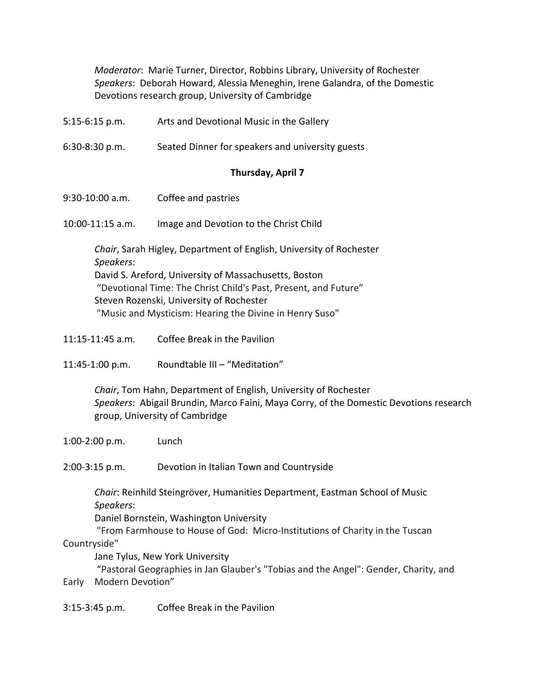*Moderator*: Marie Turner, Director, Robbins Library, University of Rochester Speakers: Deborah Howard, Alessia Meneghin, Irene Galandra, of the Domestic Devotions research group, University of Cambridge

|  | $5:15-6:15$ p.m. | Arts and Devotional Music in the Gallery |
|--|------------------|------------------------------------------|
|--|------------------|------------------------------------------|

6:30-8:30 p.m. Seated Dinner for speakers and university guests

## **Thursday, April 7**

9:30-10:00 a.m. Coffee and pastries

10:00-11:15 a.m. Image and Devotion to the Christ Child

*Chair*, Sarah Higley, Department of English, University of Rochester *Speakers*: David S. Areford, University of Massachusetts, Boston "Devotional Time: The Christ Child's Past, Present, and Future" Steven Rozenski, University of Rochester "Music and Mysticism: Hearing the Divine in Henry Suso"

- $11:15-11:45$  a.m. Coffee Break in the Pavilion
- 11:45-1:00 p.m. Roundtable III "Meditation"

*Chair*, Tom Hahn, Department of English, University of Rochester Speakers: Abigail Brundin, Marco Faini, Maya Corry, of the Domestic Devotions research group, University of Cambridge

1:00-2:00 p.m. Lunch 

2:00-3:15 p.m. Devotion in Italian Town and Countryside

*Chair*: Reinhild Steingröver, Humanities Department, Eastman School of Music *Speakers*:

Daniel Bornstein, Washington University

"From Farmhouse to House of God: Micro-Institutions of Charity in the Tuscan Countryside"

Jane Tylus, New York University

"Pastoral Geographies in Jan Glauber's "Tobias and the Angel": Gender, Charity, and Early Modern Devotion"

3:15-3:45 p.m. Coffee Break in the Pavilion